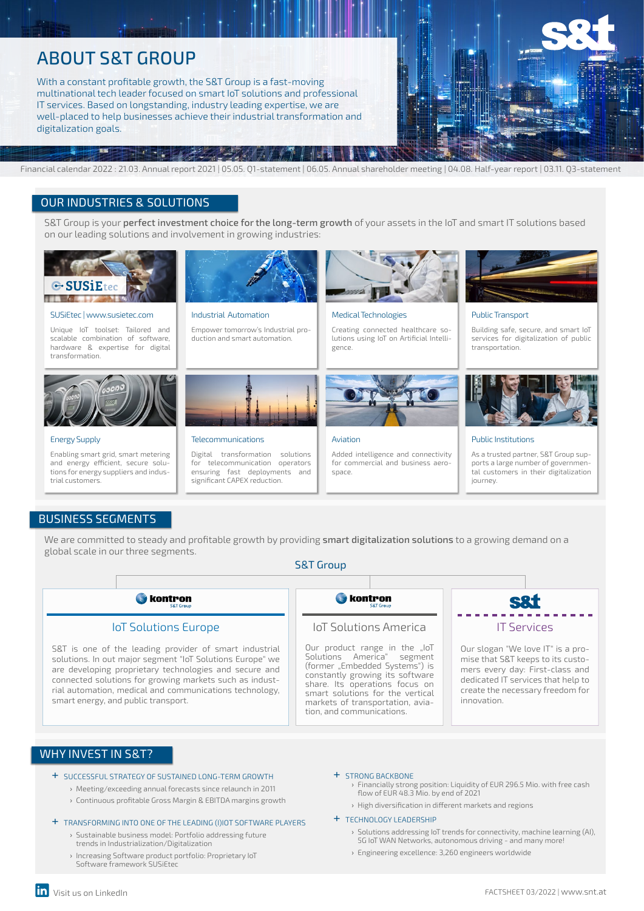# ABOUT S&T GROUP

With a constant profitable growth, the S&T Group is a fast-moving multinational tech leader focused on smart IoT solutions and professional IT services. Based on longstanding, industry leading expertise, we are well-placed to help businesses achieve their industrial transformation and digitalization goals.



# OUR INDUSTRIES & SOLUTIONS

S&T Group is your perfect investment choice for the long-term growth of your assets in the IoT and smart IT solutions based on our leading solutions and involvement in growing industries:



#### SUSiEtec | www.susietec.com

Unique IoT toolset: Tailored and scalable combination of software, hardware & expertise for digital transformation.



#### Energy Supply

Enabling smart grid, smart metering and energy efficient, secure solutions for energy suppliers and industrial customers.



#### Industrial Automation

Telecommunications

Empower tomorrow's Industrial production and smart automation.

Digital transformation solutions for telecommunication operators ensuring fast deployments and significant CAPEX reduction.





#### Aviation

Added intelligence and connectivity for commercial and business aerospace



#### Public Transport

Building safe, secure, and smart IoT services for digitalization of public transportation.



#### Public Institutions

As a trusted partner, S&T Group supports a large number of governmental customers in their digitalization journey.

# BUSINESS SEGMENTS

We are committed to steady and profitable growth by providing smart digitalization solutions to a growing demand on a global scale in our three segments.

### S&T Group



# WHY INVEST IN S&T?

- + SUCCESSFUL STRATEGY OF SUSTAINED LONG-TERM GROWTH
	- › Meeting/exceeding annual forecasts since relaunch in 2011
	- › Continuous profitable Gross Margin & EBITDA margins growth

#### + TRANSFORMING INTO ONE OF THE LEADING (I)IOT SOFTWARE PLAYERS

- › Sustainable business model: Portfolio addressing future trends in Industrialization/Digitalization
- › Increasing Software product portfolio: Proprietary IoT Software framework SUSiEtec

#### + STRONG BACKBONE

- › Financially strong position: Liquidity of EUR 296.5 Mio. with free cash flow of EUR 48.3 Mio. by end of 2021
- › High diversification in different markets and regions

#### + TECHNOLOGY LEADERSHIP

- › Solutions addressing IoT trends for connectivity, machine learning (AI), 5G IoT WAN Networks, autonomous driving - and many more!
- › Engineering excellence: 3,260 engineers worldwide